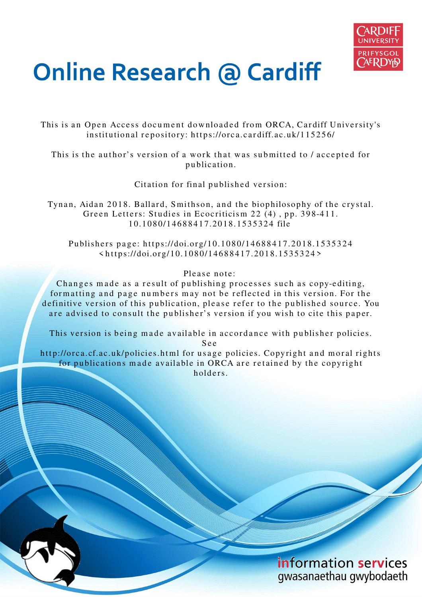

# **Online Research @ Cardiff**

This is an Open Access document downloaded from ORCA, Cardiff University's institutional repository: https://orca.cardiff.ac.uk/115256/

This is the author's version of a work that was submitted to / accepted for p u blication.

Citation for final published version:

Tynan, Aidan 2018. Ballard, Smithson, and the biophilosophy of the crystal. Green Letters: Studies in Ecocriticism 22 (4), pp. 398-411. 1 0.1 0 8 0/1 46 8 8 4 1 7.20 1 8.15 3 5 3 2 4 file

Publishers page: https://doi.org/10.1080/14688417.2018.1535324  $\langle https://doi.org/10.1080/14688417.2018.1535324\rangle$ 

Please note:

Changes made as a result of publishing processes such as copy-editing, formatting and page numbers may not be reflected in this version. For the definitive version of this publication, please refer to the published source. You are advised to consult the publisher's version if you wish to cite this paper.

This version is being made available in accordance with publisher policies.

S e e

http://orca.cf.ac.uk/policies.html for usage policies. Copyright and moral rights for publications made available in ORCA are retained by the copyright holders.

> information services gwasanaethau gwybodaeth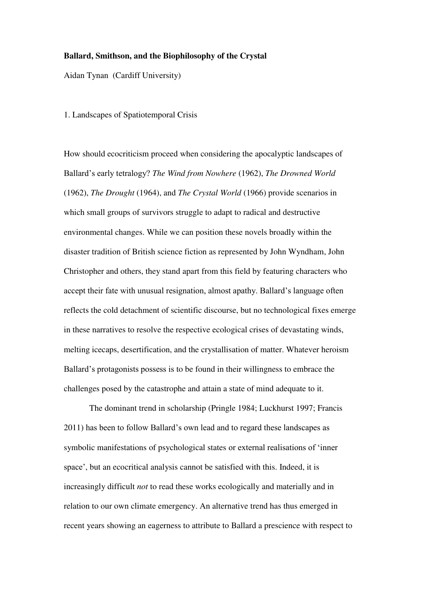### **Ballard, Smithson, and the Biophilosophy of the Crystal**

Aidan Tynan (Cardiff University)

#### 1. Landscapes of Spatiotemporal Crisis

How should ecocriticism proceed when considering the apocalyptic landscapes of Ballard's early tetralogy? *The Wind from Nowhere* (1962), *The Drowned World* (1962), *The Drought* (1964), and *The Crystal World* (1966) provide scenarios in which small groups of survivors struggle to adapt to radical and destructive environmental changes. While we can position these novels broadly within the disaster tradition of British science fiction as represented by John Wyndham, John Christopher and others, they stand apart from this field by featuring characters who accept their fate with unusual resignation, almost apathy. Ballard's language often reflects the cold detachment of scientific discourse, but no technological fixes emerge in these narratives to resolve the respective ecological crises of devastating winds, melting icecaps, desertification, and the crystallisation of matter. Whatever heroism Ballard's protagonists possess is to be found in their willingness to embrace the challenges posed by the catastrophe and attain a state of mind adequate to it.

The dominant trend in scholarship (Pringle 1984; Luckhurst 1997; Francis 2011) has been to follow Ballard's own lead and to regard these landscapes as symbolic manifestations of psychological states or external realisations of 'inner space', but an ecocritical analysis cannot be satisfied with this. Indeed, it is increasingly difficult *not* to read these works ecologically and materially and in relation to our own climate emergency. An alternative trend has thus emerged in recent years showing an eagerness to attribute to Ballard a prescience with respect to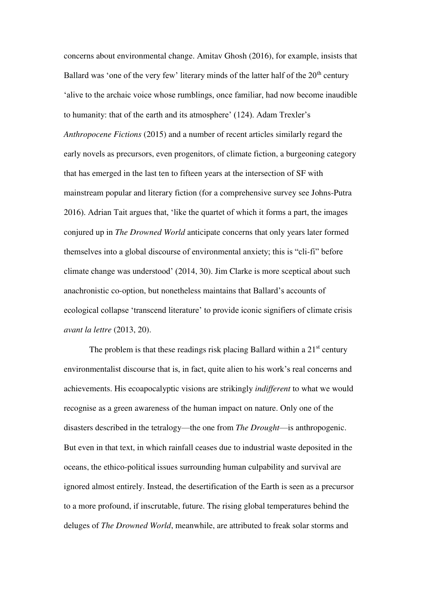concerns about environmental change. Amitav Ghosh (2016), for example, insists that Ballard was 'one of the very few' literary minds of the latter half of the  $20<sup>th</sup>$  century 'alive to the archaic voice whose rumblings, once familiar, had now become inaudible to humanity: that of the earth and its atmosphere' (124). Adam Trexler's *Anthropocene Fictions* (2015) and a number of recent articles similarly regard the early novels as precursors, even progenitors, of climate fiction, a burgeoning category that has emerged in the last ten to fifteen years at the intersection of SF with mainstream popular and literary fiction (for a comprehensive survey see Johns-Putra 2016). Adrian Tait argues that, 'like the quartet of which it forms a part, the images conjured up in *The Drowned World* anticipate concerns that only years later formed themselves into a global discourse of environmental anxiety; this is "cli-fi" before climate change was understood' (2014, 30). Jim Clarke is more sceptical about such anachronistic co-option, but nonetheless maintains that Ballard's accounts of ecological collapse 'transcend literature' to provide iconic signifiers of climate crisis *avant la lettre* (2013, 20).

The problem is that these readings risk placing Ballard within a  $21<sup>st</sup>$  century environmentalist discourse that is, in fact, quite alien to his work's real concerns and achievements. His ecoapocalyptic visions are strikingly *indifferent* to what we would recognise as a green awareness of the human impact on nature. Only one of the disasters described in the tetralogy—the one from *The Drought*—is anthropogenic. But even in that text, in which rainfall ceases due to industrial waste deposited in the oceans, the ethico-political issues surrounding human culpability and survival are ignored almost entirely. Instead, the desertification of the Earth is seen as a precursor to a more profound, if inscrutable, future. The rising global temperatures behind the deluges of *The Drowned World*, meanwhile, are attributed to freak solar storms and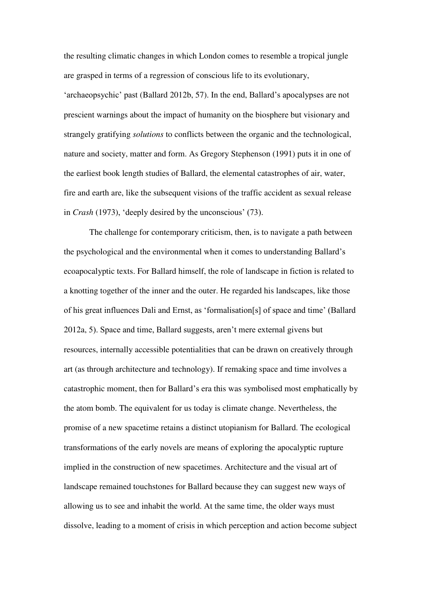the resulting climatic changes in which London comes to resemble a tropical jungle are grasped in terms of a regression of conscious life to its evolutionary, 'archaeopsychic' past (Ballard 2012b, 57). In the end, Ballard's apocalypses are not prescient warnings about the impact of humanity on the biosphere but visionary and strangely gratifying *solutions* to conflicts between the organic and the technological, nature and society, matter and form. As Gregory Stephenson (1991) puts it in one of the earliest book length studies of Ballard, the elemental catastrophes of air, water, fire and earth are, like the subsequent visions of the traffic accident as sexual release in *Crash* (1973), 'deeply desired by the unconscious' (73).

The challenge for contemporary criticism, then, is to navigate a path between the psychological and the environmental when it comes to understanding Ballard's ecoapocalyptic texts. For Ballard himself, the role of landscape in fiction is related to a knotting together of the inner and the outer. He regarded his landscapes, like those of his great influences Dali and Ernst, as 'formalisation[s] of space and time' (Ballard 2012a, 5). Space and time, Ballard suggests, aren't mere external givens but resources, internally accessible potentialities that can be drawn on creatively through art (as through architecture and technology). If remaking space and time involves a catastrophic moment, then for Ballard's era this was symbolised most emphatically by the atom bomb. The equivalent for us today is climate change. Nevertheless, the promise of a new spacetime retains a distinct utopianism for Ballard. The ecological transformations of the early novels are means of exploring the apocalyptic rupture implied in the construction of new spacetimes. Architecture and the visual art of landscape remained touchstones for Ballard because they can suggest new ways of allowing us to see and inhabit the world. At the same time, the older ways must dissolve, leading to a moment of crisis in which perception and action become subject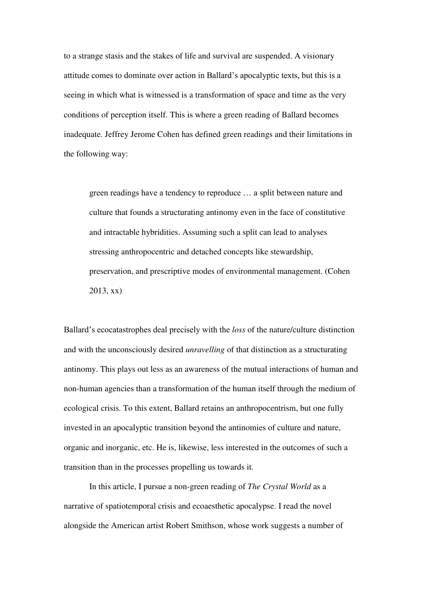to a strange stasis and the stakes of life and survival are suspended. A visionary attitude comes to dominate over action in Ballard's apocalyptic texts, but this is a seeing in which what is witnessed is a transformation of space and time as the very conditions of perception itself. This is where a green reading of Ballard becomes inadequate. Jeffrey Jerome Cohen has defined green readings and their limitations in the following way:

green readings have a tendency to reproduce … a split between nature and culture that founds a structurating antinomy even in the face of constitutive and intractable hybridities. Assuming such a split can lead to analyses stressing anthropocentric and detached concepts like stewardship, preservation, and prescriptive modes of environmental management. (Cohen 2013, xx)

Ballard's ecocatastrophes deal precisely with the *loss* of the nature/culture distinction and with the unconsciously desired *unravelling* of that distinction as a structurating antinomy. This plays out less as an awareness of the mutual interactions of human and non-human agencies than a transformation of the human itself through the medium of ecological crisis. To this extent, Ballard retains an anthropocentrism, but one fully invested in an apocalyptic transition beyond the antinomies of culture and nature, organic and inorganic, etc. He is, likewise, less interested in the outcomes of such a transition than in the processes propelling us towards it.

In this article, I pursue a non-green reading of *The Crystal World* as a narrative of spatiotemporal crisis and ecoaesthetic apocalypse. I read the novel alongside the American artist Robert Smithson, whose work suggests a number of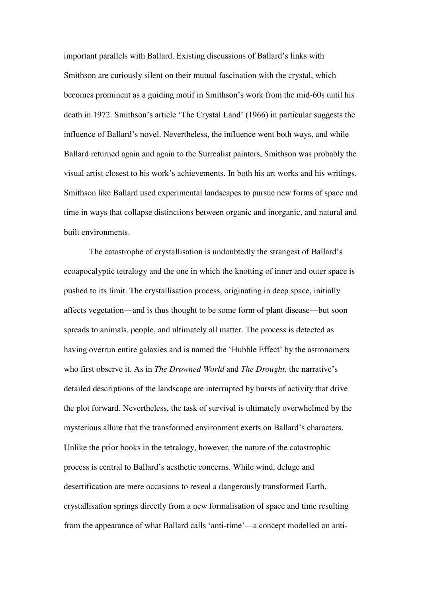important parallels with Ballard. Existing discussions of Ballard's links with Smithson are curiously silent on their mutual fascination with the crystal, which becomes prominent as a guiding motif in Smithson's work from the mid-60s until his death in 1972. Smithson's article 'The Crystal Land' (1966) in particular suggests the influence of Ballard's novel. Nevertheless, the influence went both ways, and while Ballard returned again and again to the Surrealist painters, Smithson was probably the visual artist closest to his work's achievements. In both his art works and his writings, Smithson like Ballard used experimental landscapes to pursue new forms of space and time in ways that collapse distinctions between organic and inorganic, and natural and built environments.

The catastrophe of crystallisation is undoubtedly the strangest of Ballard's ecoapocalyptic tetralogy and the one in which the knotting of inner and outer space is pushed to its limit. The crystallisation process, originating in deep space, initially affects vegetation—and is thus thought to be some form of plant disease—but soon spreads to animals, people, and ultimately all matter. The process is detected as having overrun entire galaxies and is named the 'Hubble Effect' by the astronomers who first observe it. As in *The Drowned World* and *The Drought*, the narrative's detailed descriptions of the landscape are interrupted by bursts of activity that drive the plot forward. Nevertheless, the task of survival is ultimately overwhelmed by the mysterious allure that the transformed environment exerts on Ballard's characters. Unlike the prior books in the tetralogy, however, the nature of the catastrophic process is central to Ballard's aesthetic concerns. While wind, deluge and desertification are mere occasions to reveal a dangerously transformed Earth, crystallisation springs directly from a new formalisation of space and time resulting from the appearance of what Ballard calls 'anti-time'—a concept modelled on anti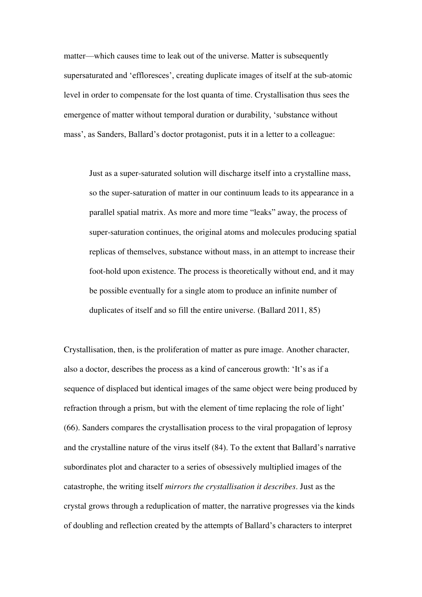matter—which causes time to leak out of the universe. Matter is subsequently supersaturated and 'effloresces', creating duplicate images of itself at the sub-atomic level in order to compensate for the lost quanta of time. Crystallisation thus sees the emergence of matter without temporal duration or durability, 'substance without mass', as Sanders, Ballard's doctor protagonist, puts it in a letter to a colleague:

Just as a super-saturated solution will discharge itself into a crystalline mass, so the super-saturation of matter in our continuum leads to its appearance in a parallel spatial matrix. As more and more time "leaks" away, the process of super-saturation continues, the original atoms and molecules producing spatial replicas of themselves, substance without mass, in an attempt to increase their foot-hold upon existence. The process is theoretically without end, and it may be possible eventually for a single atom to produce an infinite number of duplicates of itself and so fill the entire universe. (Ballard 2011, 85)

Crystallisation, then, is the proliferation of matter as pure image. Another character, also a doctor, describes the process as a kind of cancerous growth: 'It's as if a sequence of displaced but identical images of the same object were being produced by refraction through a prism, but with the element of time replacing the role of light' (66). Sanders compares the crystallisation process to the viral propagation of leprosy and the crystalline nature of the virus itself (84). To the extent that Ballard's narrative subordinates plot and character to a series of obsessively multiplied images of the catastrophe, the writing itself *mirrors the crystallisation it describes*. Just as the crystal grows through a reduplication of matter, the narrative progresses via the kinds of doubling and reflection created by the attempts of Ballard's characters to interpret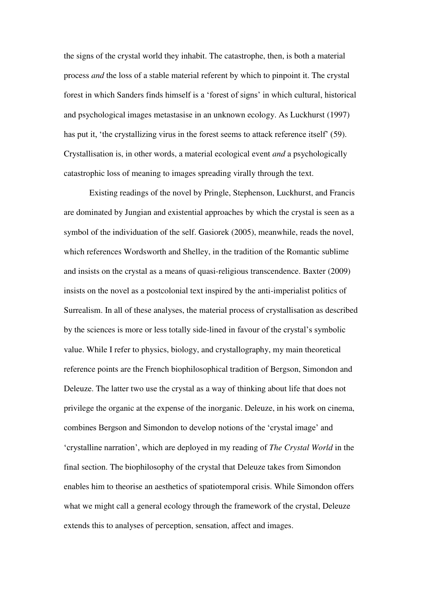the signs of the crystal world they inhabit. The catastrophe, then, is both a material process *and* the loss of a stable material referent by which to pinpoint it. The crystal forest in which Sanders finds himself is a 'forest of signs' in which cultural, historical and psychological images metastasise in an unknown ecology. As Luckhurst (1997) has put it, 'the crystallizing virus in the forest seems to attack reference itself' (59). Crystallisation is, in other words, a material ecological event *and* a psychologically catastrophic loss of meaning to images spreading virally through the text.

Existing readings of the novel by Pringle, Stephenson, Luckhurst, and Francis are dominated by Jungian and existential approaches by which the crystal is seen as a symbol of the individuation of the self. Gasiorek (2005), meanwhile, reads the novel, which references Wordsworth and Shelley, in the tradition of the Romantic sublime and insists on the crystal as a means of quasi-religious transcendence. Baxter (2009) insists on the novel as a postcolonial text inspired by the anti-imperialist politics of Surrealism. In all of these analyses, the material process of crystallisation as described by the sciences is more or less totally side-lined in favour of the crystal's symbolic value. While I refer to physics, biology, and crystallography, my main theoretical reference points are the French biophilosophical tradition of Bergson, Simondon and Deleuze. The latter two use the crystal as a way of thinking about life that does not privilege the organic at the expense of the inorganic. Deleuze, in his work on cinema, combines Bergson and Simondon to develop notions of the 'crystal image' and 'crystalline narration', which are deployed in my reading of *The Crystal World* in the final section. The biophilosophy of the crystal that Deleuze takes from Simondon enables him to theorise an aesthetics of spatiotemporal crisis. While Simondon offers what we might call a general ecology through the framework of the crystal, Deleuze extends this to analyses of perception, sensation, affect and images.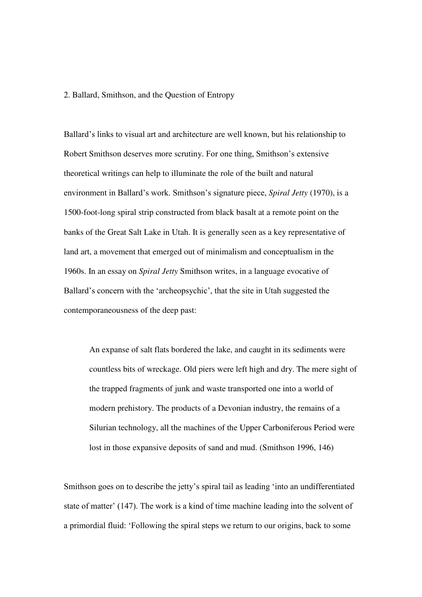### 2. Ballard, Smithson, and the Question of Entropy

Ballard's links to visual art and architecture are well known, but his relationship to Robert Smithson deserves more scrutiny. For one thing, Smithson's extensive theoretical writings can help to illuminate the role of the built and natural environment in Ballard's work. Smithson's signature piece, *Spiral Jetty* (1970), is a 1500-foot-long spiral strip constructed from black basalt at a remote point on the banks of the Great Salt Lake in Utah. It is generally seen as a key representative of land art, a movement that emerged out of minimalism and conceptualism in the 1960s. In an essay on *Spiral Jetty* Smithson writes, in a language evocative of Ballard's concern with the 'archeopsychic', that the site in Utah suggested the contemporaneousness of the deep past:

An expanse of salt flats bordered the lake, and caught in its sediments were countless bits of wreckage. Old piers were left high and dry. The mere sight of the trapped fragments of junk and waste transported one into a world of modern prehistory. The products of a Devonian industry, the remains of a Silurian technology, all the machines of the Upper Carboniferous Period were lost in those expansive deposits of sand and mud. (Smithson 1996, 146)

Smithson goes on to describe the jetty's spiral tail as leading 'into an undifferentiated state of matter' (147). The work is a kind of time machine leading into the solvent of a primordial fluid: 'Following the spiral steps we return to our origins, back to some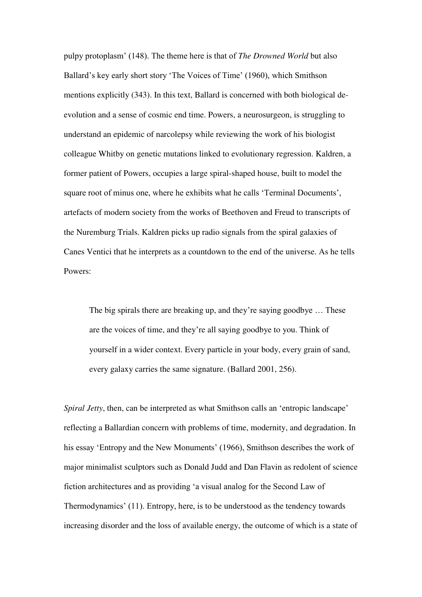pulpy protoplasm' (148). The theme here is that of *The Drowned World* but also Ballard's key early short story 'The Voices of Time' (1960), which Smithson mentions explicitly (343). In this text, Ballard is concerned with both biological deevolution and a sense of cosmic end time. Powers, a neurosurgeon, is struggling to understand an epidemic of narcolepsy while reviewing the work of his biologist colleague Whitby on genetic mutations linked to evolutionary regression. Kaldren, a former patient of Powers, occupies a large spiral-shaped house, built to model the square root of minus one, where he exhibits what he calls 'Terminal Documents', artefacts of modern society from the works of Beethoven and Freud to transcripts of the Nuremburg Trials. Kaldren picks up radio signals from the spiral galaxies of Canes Ventici that he interprets as a countdown to the end of the universe. As he tells Powers:

The big spirals there are breaking up, and they're saying goodbye … These are the voices of time, and they're all saying goodbye to you. Think of yourself in a wider context. Every particle in your body, every grain of sand, every galaxy carries the same signature. (Ballard 2001, 256).

*Spiral Jetty*, then, can be interpreted as what Smithson calls an 'entropic landscape' reflecting a Ballardian concern with problems of time, modernity, and degradation. In his essay 'Entropy and the New Monuments' (1966), Smithson describes the work of major minimalist sculptors such as Donald Judd and Dan Flavin as redolent of science fiction architectures and as providing 'a visual analog for the Second Law of Thermodynamics' (11). Entropy, here, is to be understood as the tendency towards increasing disorder and the loss of available energy, the outcome of which is a state of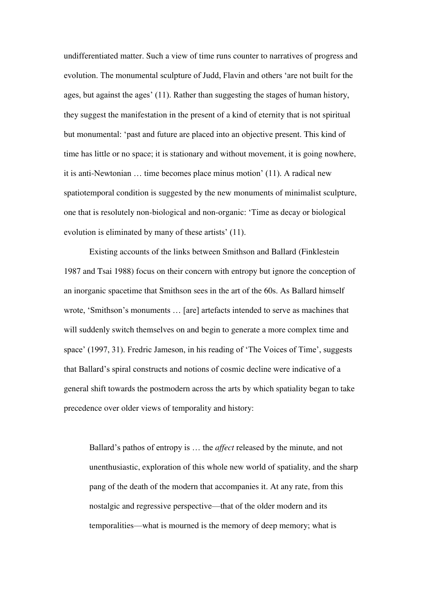undifferentiated matter. Such a view of time runs counter to narratives of progress and evolution. The monumental sculpture of Judd, Flavin and others 'are not built for the ages, but against the ages' (11). Rather than suggesting the stages of human history, they suggest the manifestation in the present of a kind of eternity that is not spiritual but monumental: 'past and future are placed into an objective present. This kind of time has little or no space; it is stationary and without movement, it is going nowhere, it is anti-Newtonian … time becomes place minus motion' (11). A radical new spatiotemporal condition is suggested by the new monuments of minimalist sculpture, one that is resolutely non-biological and non-organic: 'Time as decay or biological evolution is eliminated by many of these artists' (11).

Existing accounts of the links between Smithson and Ballard (Finklestein 1987 and Tsai 1988) focus on their concern with entropy but ignore the conception of an inorganic spacetime that Smithson sees in the art of the 60s. As Ballard himself wrote, 'Smithson's monuments … [are] artefacts intended to serve as machines that will suddenly switch themselves on and begin to generate a more complex time and space' (1997, 31). Fredric Jameson, in his reading of 'The Voices of Time', suggests that Ballard's spiral constructs and notions of cosmic decline were indicative of a general shift towards the postmodern across the arts by which spatiality began to take precedence over older views of temporality and history:

Ballard's pathos of entropy is … the *affect* released by the minute, and not unenthusiastic, exploration of this whole new world of spatiality, and the sharp pang of the death of the modern that accompanies it. At any rate, from this nostalgic and regressive perspective—that of the older modern and its temporalities—what is mourned is the memory of deep memory; what is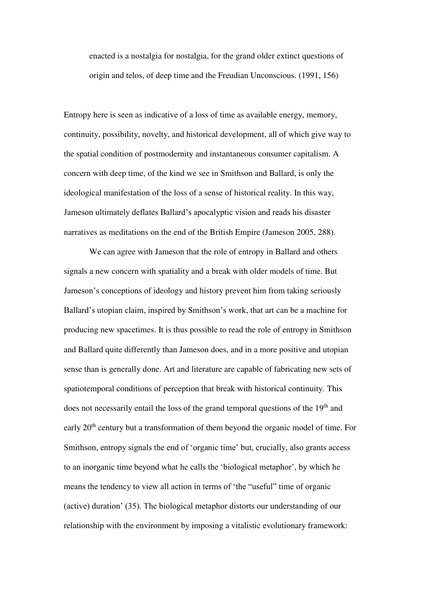enacted is a nostalgia for nostalgia, for the grand older extinct questions of origin and telos, of deep time and the Freudian Unconscious. (1991, 156)

Entropy here is seen as indicative of a loss of time as available energy, memory, continuity, possibility, novelty, and historical development, all of which give way to the spatial condition of postmodernity and instantaneous consumer capitalism. A concern with deep time, of the kind we see in Smithson and Ballard, is only the ideological manifestation of the loss of a sense of historical reality. In this way, Jameson ultimately deflates Ballard's apocalyptic vision and reads his disaster narratives as meditations on the end of the British Empire (Jameson 2005, 288).

We can agree with Jameson that the role of entropy in Ballard and others signals a new concern with spatiality and a break with older models of time. But Jameson's conceptions of ideology and history prevent him from taking seriously Ballard's utopian claim, inspired by Smithson's work, that art can be a machine for producing new spacetimes. It is thus possible to read the role of entropy in Smithson and Ballard quite differently than Jameson does, and in a more positive and utopian sense than is generally done. Art and literature are capable of fabricating new sets of spatiotemporal conditions of perception that break with historical continuity. This does not necessarily entail the loss of the grand temporal questions of the  $19<sup>th</sup>$  and early 20<sup>th</sup> century but a transformation of them beyond the organic model of time. For Smithson, entropy signals the end of 'organic time' but, crucially, also grants access to an inorganic time beyond what he calls the 'biological metaphor', by which he means the tendency to view all action in terms of 'the "useful" time of organic (active) duration' (35). The biological metaphor distorts our understanding of our relationship with the environment by imposing a vitalistic evolutionary framework: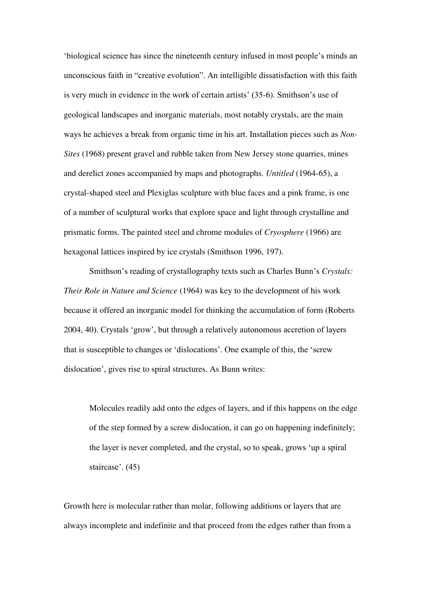'biological science has since the nineteenth century infused in most people's minds an unconscious faith in "creative evolution". An intelligible dissatisfaction with this faith is very much in evidence in the work of certain artists' (35-6). Smithson's use of geological landscapes and inorganic materials, most notably crystals, are the main ways he achieves a break from organic time in his art. Installation pieces such as *Non-Sites* (1968) present gravel and rubble taken from New Jersey stone quarries, mines and derelict zones accompanied by maps and photographs. *Untitled* (1964-65), a crystal-shaped steel and Plexiglas sculpture with blue faces and a pink frame, is one of a number of sculptural works that explore space and light through crystalline and prismatic forms. The painted steel and chrome modules of *Cryosphere* (1966) are hexagonal lattices inspired by ice crystals (Smithson 1996, 197).

Smithson's reading of crystallography texts such as Charles Bunn's *Crystals: Their Role in Nature and Science* (1964) was key to the development of his work because it offered an inorganic model for thinking the accumulation of form (Roberts 2004, 40). Crystals 'grow', but through a relatively autonomous accretion of layers that is susceptible to changes or 'dislocations'. One example of this, the 'screw dislocation', gives rise to spiral structures. As Bunn writes:

Molecules readily add onto the edges of layers, and if this happens on the edge of the step formed by a screw dislocation, it can go on happening indefinitely; the layer is never completed, and the crystal, so to speak, grows 'up a spiral staircase'. (45)

Growth here is molecular rather than molar, following additions or layers that are always incomplete and indefinite and that proceed from the edges rather than from a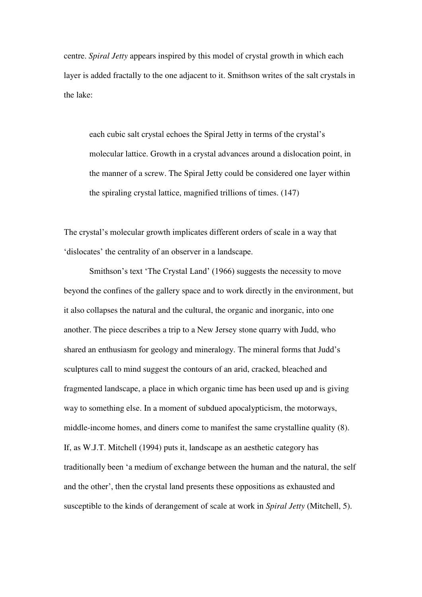centre. *Spiral Jetty* appears inspired by this model of crystal growth in which each layer is added fractally to the one adjacent to it. Smithson writes of the salt crystals in the lake:

each cubic salt crystal echoes the Spiral Jetty in terms of the crystal's molecular lattice. Growth in a crystal advances around a dislocation point, in the manner of a screw. The Spiral Jetty could be considered one layer within the spiraling crystal lattice, magnified trillions of times. (147)

The crystal's molecular growth implicates different orders of scale in a way that 'dislocates' the centrality of an observer in a landscape.

Smithson's text 'The Crystal Land' (1966) suggests the necessity to move beyond the confines of the gallery space and to work directly in the environment, but it also collapses the natural and the cultural, the organic and inorganic, into one another. The piece describes a trip to a New Jersey stone quarry with Judd, who shared an enthusiasm for geology and mineralogy. The mineral forms that Judd's sculptures call to mind suggest the contours of an arid, cracked, bleached and fragmented landscape, a place in which organic time has been used up and is giving way to something else. In a moment of subdued apocalypticism, the motorways, middle-income homes, and diners come to manifest the same crystalline quality (8). If, as W.J.T. Mitchell (1994) puts it, landscape as an aesthetic category has traditionally been 'a medium of exchange between the human and the natural, the self and the other', then the crystal land presents these oppositions as exhausted and susceptible to the kinds of derangement of scale at work in *Spiral Jetty* (Mitchell, 5).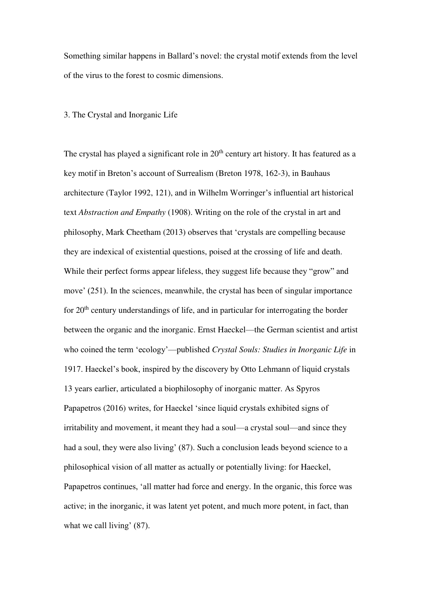Something similar happens in Ballard's novel: the crystal motif extends from the level of the virus to the forest to cosmic dimensions.

# 3. The Crystal and Inorganic Life

The crystal has played a significant role in  $20<sup>th</sup>$  century art history. It has featured as a key motif in Breton's account of Surrealism (Breton 1978, 162-3), in Bauhaus architecture (Taylor 1992, 121), and in Wilhelm Worringer's influential art historical text *Abstraction and Empathy* (1908). Writing on the role of the crystal in art and philosophy, Mark Cheetham (2013) observes that 'crystals are compelling because they are indexical of existential questions, poised at the crossing of life and death. While their perfect forms appear lifeless, they suggest life because they "grow" and move' (251). In the sciences, meanwhile, the crystal has been of singular importance for  $20<sup>th</sup>$  century understandings of life, and in particular for interrogating the border between the organic and the inorganic. Ernst Haeckel—the German scientist and artist who coined the term 'ecology'—published *Crystal Souls: Studies in Inorganic Life* in 1917. Haeckel's book, inspired by the discovery by Otto Lehmann of liquid crystals 13 years earlier, articulated a biophilosophy of inorganic matter. As Spyros Papapetros (2016) writes, for Haeckel 'since liquid crystals exhibited signs of irritability and movement, it meant they had a soul—a crystal soul—and since they had a soul, they were also living' (87). Such a conclusion leads beyond science to a philosophical vision of all matter as actually or potentially living: for Haeckel, Papapetros continues, 'all matter had force and energy. In the organic, this force was active; in the inorganic, it was latent yet potent, and much more potent, in fact, than what we call living' (87).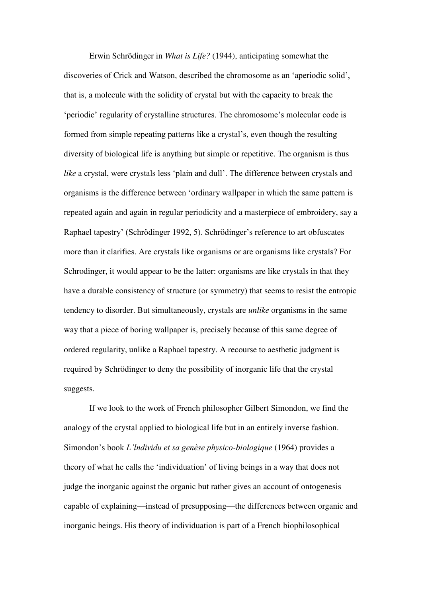Erwin Schrödinger in *What is Life?* (1944), anticipating somewhat the discoveries of Crick and Watson, described the chromosome as an 'aperiodic solid', that is, a molecule with the solidity of crystal but with the capacity to break the 'periodic' regularity of crystalline structures. The chromosome's molecular code is formed from simple repeating patterns like a crystal's, even though the resulting diversity of biological life is anything but simple or repetitive. The organism is thus *like* a crystal, were crystals less 'plain and dull'. The difference between crystals and organisms is the difference between 'ordinary wallpaper in which the same pattern is repeated again and again in regular periodicity and a masterpiece of embroidery, say a Raphael tapestry' (Schrödinger 1992, 5). Schrödinger's reference to art obfuscates more than it clarifies. Are crystals like organisms or are organisms like crystals? For Schrodinger, it would appear to be the latter: organisms are like crystals in that they have a durable consistency of structure (or symmetry) that seems to resist the entropic tendency to disorder. But simultaneously, crystals are *unlike* organisms in the same way that a piece of boring wallpaper is, precisely because of this same degree of ordered regularity, unlike a Raphael tapestry. A recourse to aesthetic judgment is required by Schrödinger to deny the possibility of inorganic life that the crystal suggests.

If we look to the work of French philosopher Gilbert Simondon, we find the analogy of the crystal applied to biological life but in an entirely inverse fashion. Simondon's book *L'lndividu et sa genèse physico-biologique* (1964) provides a theory of what he calls the 'individuation' of living beings in a way that does not judge the inorganic against the organic but rather gives an account of ontogenesis capable of explaining—instead of presupposing—the differences between organic and inorganic beings. His theory of individuation is part of a French biophilosophical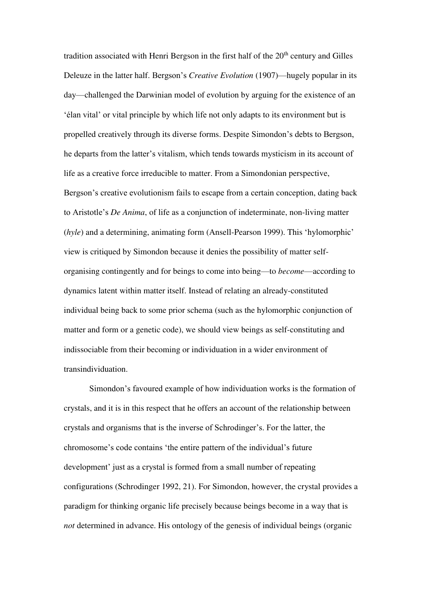tradition associated with Henri Bergson in the first half of the  $20<sup>th</sup>$  century and Gilles Deleuze in the latter half. Bergson's *Creative Evolution* (1907)—hugely popular in its day—challenged the Darwinian model of evolution by arguing for the existence of an 'élan vital' or vital principle by which life not only adapts to its environment but is propelled creatively through its diverse forms. Despite Simondon's debts to Bergson, he departs from the latter's vitalism, which tends towards mysticism in its account of life as a creative force irreducible to matter. From a Simondonian perspective, Bergson's creative evolutionism fails to escape from a certain conception, dating back to Aristotle's *De Anima*, of life as a conjunction of indeterminate, non-living matter (*hyle*) and a determining, animating form (Ansell-Pearson 1999). This 'hylomorphic' view is critiqued by Simondon because it denies the possibility of matter selforganising contingently and for beings to come into being—to *become*—according to dynamics latent within matter itself. Instead of relating an already-constituted individual being back to some prior schema (such as the hylomorphic conjunction of matter and form or a genetic code), we should view beings as self-constituting and indissociable from their becoming or individuation in a wider environment of transindividuation.

Simondon's favoured example of how individuation works is the formation of crystals, and it is in this respect that he offers an account of the relationship between crystals and organisms that is the inverse of Schrodinger's. For the latter, the chromosome's code contains 'the entire pattern of the individual's future development' just as a crystal is formed from a small number of repeating configurations (Schrodinger 1992, 21). For Simondon, however, the crystal provides a paradigm for thinking organic life precisely because beings become in a way that is *not* determined in advance. His ontology of the genesis of individual beings (organic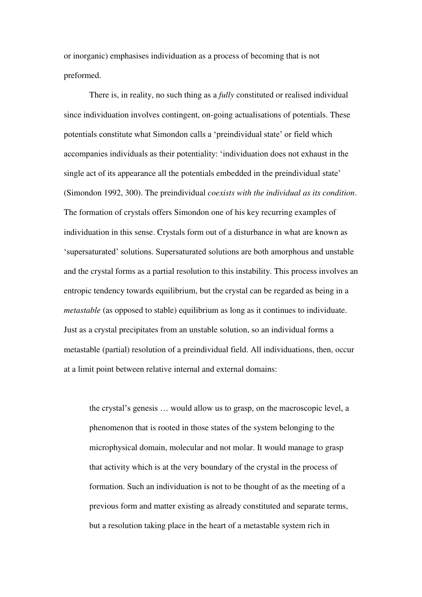or inorganic) emphasises individuation as a process of becoming that is not preformed.

There is, in reality, no such thing as a *fully* constituted or realised individual since individuation involves contingent, on-going actualisations of potentials. These potentials constitute what Simondon calls a 'preindividual state' or field which accompanies individuals as their potentiality: 'individuation does not exhaust in the single act of its appearance all the potentials embedded in the preindividual state' (Simondon 1992, 300). The preindividual *coexists with the individual as its condition*. The formation of crystals offers Simondon one of his key recurring examples of individuation in this sense. Crystals form out of a disturbance in what are known as 'supersaturated' solutions. Supersaturated solutions are both amorphous and unstable and the crystal forms as a partial resolution to this instability. This process involves an entropic tendency towards equilibrium, but the crystal can be regarded as being in a *metastable* (as opposed to stable) equilibrium as long as it continues to individuate. Just as a crystal precipitates from an unstable solution, so an individual forms a metastable (partial) resolution of a preindividual field. All individuations, then, occur at a limit point between relative internal and external domains:

the crystal's genesis … would allow us to grasp, on the macroscopic level, a phenomenon that is rooted in those states of the system belonging to the microphysical domain, molecular and not molar. It would manage to grasp that activity which is at the very boundary of the crystal in the process of formation. Such an individuation is not to be thought of as the meeting of a previous form and matter existing as already constituted and separate terms, but a resolution taking place in the heart of a metastable system rich in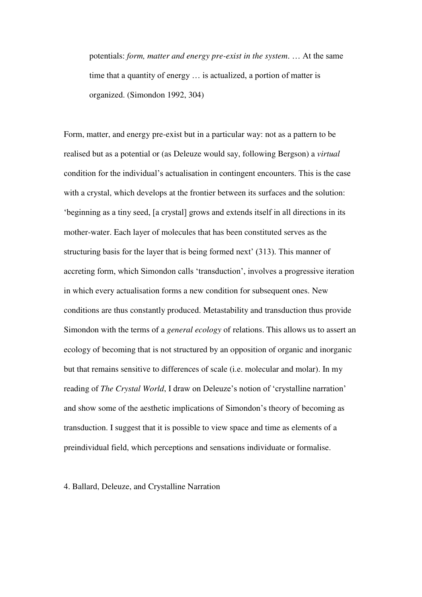potentials: *form, matter and energy pre-exist in the system*. … At the same time that a quantity of energy … is actualized, a portion of matter is organized. (Simondon 1992, 304)

Form, matter, and energy pre-exist but in a particular way: not as a pattern to be realised but as a potential or (as Deleuze would say, following Bergson) a *virtual* condition for the individual's actualisation in contingent encounters. This is the case with a crystal, which develops at the frontier between its surfaces and the solution: 'beginning as a tiny seed, [a crystal] grows and extends itself in all directions in its mother-water. Each layer of molecules that has been constituted serves as the structuring basis for the layer that is being formed next' (313). This manner of accreting form, which Simondon calls 'transduction', involves a progressive iteration in which every actualisation forms a new condition for subsequent ones. New conditions are thus constantly produced. Metastability and transduction thus provide Simondon with the terms of a *general ecology* of relations. This allows us to assert an ecology of becoming that is not structured by an opposition of organic and inorganic but that remains sensitive to differences of scale (i.e. molecular and molar). In my reading of *The Crystal World*, I draw on Deleuze's notion of 'crystalline narration' and show some of the aesthetic implications of Simondon's theory of becoming as transduction. I suggest that it is possible to view space and time as elements of a preindividual field, which perceptions and sensations individuate or formalise.

4. Ballard, Deleuze, and Crystalline Narration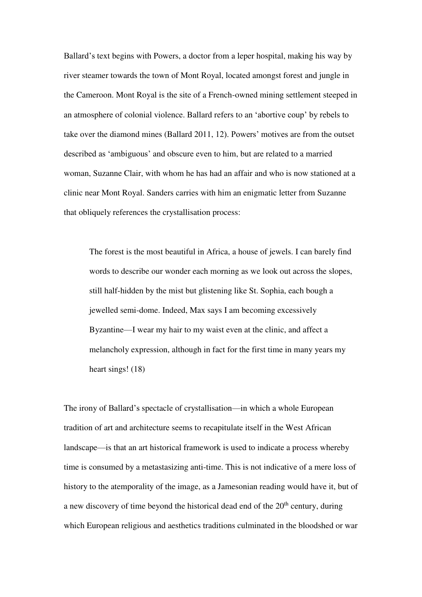Ballard's text begins with Powers, a doctor from a leper hospital, making his way by river steamer towards the town of Mont Royal, located amongst forest and jungle in the Cameroon. Mont Royal is the site of a French-owned mining settlement steeped in an atmosphere of colonial violence. Ballard refers to an 'abortive coup' by rebels to take over the diamond mines (Ballard 2011, 12). Powers' motives are from the outset described as 'ambiguous' and obscure even to him, but are related to a married woman, Suzanne Clair, with whom he has had an affair and who is now stationed at a clinic near Mont Royal. Sanders carries with him an enigmatic letter from Suzanne that obliquely references the crystallisation process:

The forest is the most beautiful in Africa, a house of jewels. I can barely find words to describe our wonder each morning as we look out across the slopes, still half-hidden by the mist but glistening like St. Sophia, each bough a jewelled semi-dome. Indeed, Max says I am becoming excessively Byzantine—I wear my hair to my waist even at the clinic, and affect a melancholy expression, although in fact for the first time in many years my heart sings! (18)

The irony of Ballard's spectacle of crystallisation—in which a whole European tradition of art and architecture seems to recapitulate itself in the West African landscape—is that an art historical framework is used to indicate a process whereby time is consumed by a metastasizing anti-time. This is not indicative of a mere loss of history to the atemporality of the image, as a Jamesonian reading would have it, but of a new discovery of time beyond the historical dead end of the  $20<sup>th</sup>$  century, during which European religious and aesthetics traditions culminated in the bloodshed or war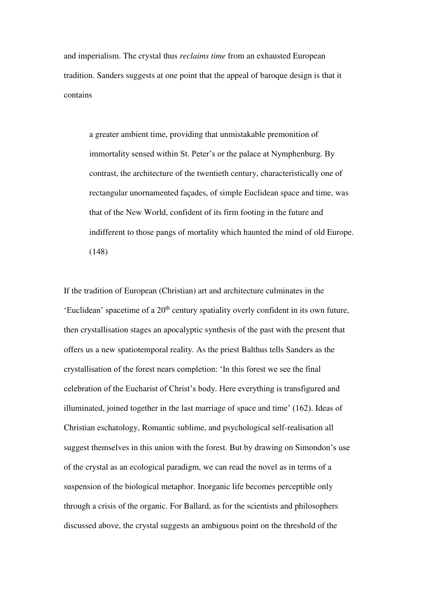and imperialism. The crystal thus *reclaims time* from an exhausted European tradition. Sanders suggests at one point that the appeal of baroque design is that it contains

a greater ambient time, providing that unmistakable premonition of immortality sensed within St. Peter's or the palace at Nymphenburg. By contrast, the architecture of the twentieth century, characteristically one of rectangular unornamented façades, of simple Euclidean space and time, was that of the New World, confident of its firm footing in the future and indifferent to those pangs of mortality which haunted the mind of old Europe. (148)

If the tradition of European (Christian) art and architecture culminates in the 'Euclidean' spacetime of a 20<sup>th</sup> century spatiality overly confident in its own future, then crystallisation stages an apocalyptic synthesis of the past with the present that offers us a new spatiotemporal reality. As the priest Balthus tells Sanders as the crystallisation of the forest nears completion: 'In this forest we see the final celebration of the Eucharist of Christ's body. Here everything is transfigured and illuminated, joined together in the last marriage of space and time' (162). Ideas of Christian eschatology, Romantic sublime, and psychological self-realisation all suggest themselves in this union with the forest. But by drawing on Simondon's use of the crystal as an ecological paradigm, we can read the novel as in terms of a suspension of the biological metaphor. Inorganic life becomes perceptible only through a crisis of the organic. For Ballard, as for the scientists and philosophers discussed above, the crystal suggests an ambiguous point on the threshold of the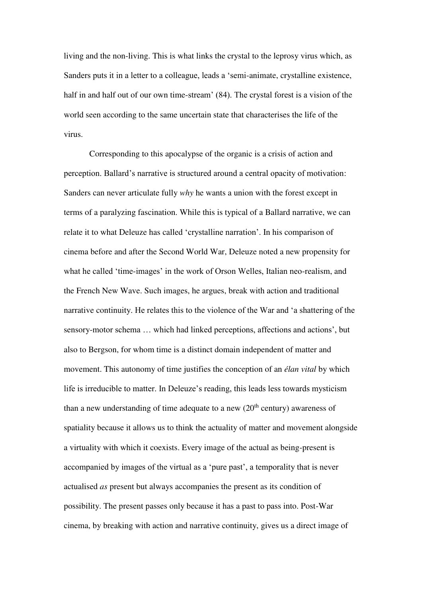living and the non-living. This is what links the crystal to the leprosy virus which, as Sanders puts it in a letter to a colleague, leads a 'semi-animate, crystalline existence, half in and half out of our own time-stream' (84). The crystal forest is a vision of the world seen according to the same uncertain state that characterises the life of the virus.

Corresponding to this apocalypse of the organic is a crisis of action and perception. Ballard's narrative is structured around a central opacity of motivation: Sanders can never articulate fully *why* he wants a union with the forest except in terms of a paralyzing fascination. While this is typical of a Ballard narrative, we can relate it to what Deleuze has called 'crystalline narration'. In his comparison of cinema before and after the Second World War, Deleuze noted a new propensity for what he called 'time-images' in the work of Orson Welles, Italian neo-realism, and the French New Wave. Such images, he argues, break with action and traditional narrative continuity. He relates this to the violence of the War and 'a shattering of the sensory-motor schema … which had linked perceptions, affections and actions', but also to Bergson, for whom time is a distinct domain independent of matter and movement. This autonomy of time justifies the conception of an *élan vital* by which life is irreducible to matter. In Deleuze's reading, this leads less towards mysticism than a new understanding of time adequate to a new  $(20<sup>th</sup>$  century) awareness of spatiality because it allows us to think the actuality of matter and movement alongside a virtuality with which it coexists. Every image of the actual as being-present is accompanied by images of the virtual as a 'pure past', a temporality that is never actualised *as* present but always accompanies the present as its condition of possibility. The present passes only because it has a past to pass into. Post-War cinema, by breaking with action and narrative continuity, gives us a direct image of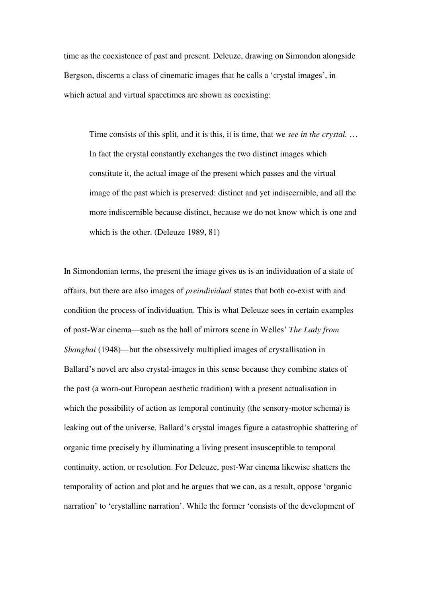time as the coexistence of past and present. Deleuze, drawing on Simondon alongside Bergson, discerns a class of cinematic images that he calls a 'crystal images', in which actual and virtual spacetimes are shown as coexisting:

Time consists of this split, and it is this, it is time, that we *see in the crystal.* … In fact the crystal constantly exchanges the two distinct images which constitute it, the actual image of the present which passes and the virtual image of the past which is preserved: distinct and yet indiscernible, and all the more indiscernible because distinct, because we do not know which is one and which is the other. (Deleuze 1989, 81)

In Simondonian terms, the present the image gives us is an individuation of a state of affairs, but there are also images of *preindividual* states that both co-exist with and condition the process of individuation. This is what Deleuze sees in certain examples of post-War cinema—such as the hall of mirrors scene in Welles' *The Lady from Shanghai* (1948)—but the obsessively multiplied images of crystallisation in Ballard's novel are also crystal-images in this sense because they combine states of the past (a worn-out European aesthetic tradition) with a present actualisation in which the possibility of action as temporal continuity (the sensory-motor schema) is leaking out of the universe. Ballard's crystal images figure a catastrophic shattering of organic time precisely by illuminating a living present insusceptible to temporal continuity, action, or resolution. For Deleuze, post-War cinema likewise shatters the temporality of action and plot and he argues that we can, as a result, oppose 'organic narration' to 'crystalline narration'. While the former 'consists of the development of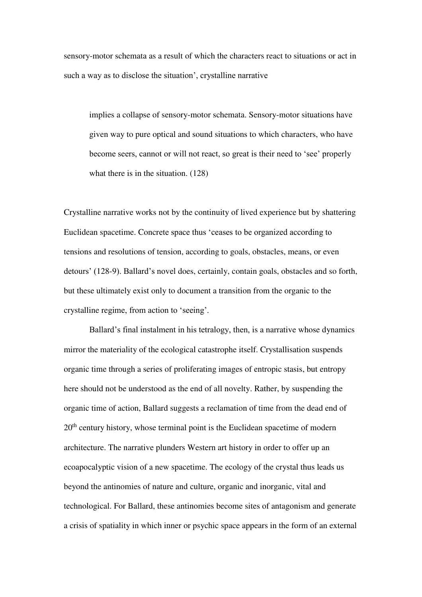sensory-motor schemata as a result of which the characters react to situations or act in such a way as to disclose the situation', crystalline narrative

implies a collapse of sensory-motor schemata. Sensory-motor situations have given way to pure optical and sound situations to which characters, who have become seers, cannot or will not react, so great is their need to 'see' properly what there is in the situation.  $(128)$ 

Crystalline narrative works not by the continuity of lived experience but by shattering Euclidean spacetime. Concrete space thus 'ceases to be organized according to tensions and resolutions of tension, according to goals, obstacles, means, or even detours' (128-9). Ballard's novel does, certainly, contain goals, obstacles and so forth, but these ultimately exist only to document a transition from the organic to the crystalline regime, from action to 'seeing'.

Ballard's final instalment in his tetralogy, then, is a narrative whose dynamics mirror the materiality of the ecological catastrophe itself. Crystallisation suspends organic time through a series of proliferating images of entropic stasis, but entropy here should not be understood as the end of all novelty. Rather, by suspending the organic time of action, Ballard suggests a reclamation of time from the dead end of 20<sup>th</sup> century history, whose terminal point is the Euclidean spacetime of modern architecture. The narrative plunders Western art history in order to offer up an ecoapocalyptic vision of a new spacetime. The ecology of the crystal thus leads us beyond the antinomies of nature and culture, organic and inorganic, vital and technological. For Ballard, these antinomies become sites of antagonism and generate a crisis of spatiality in which inner or psychic space appears in the form of an external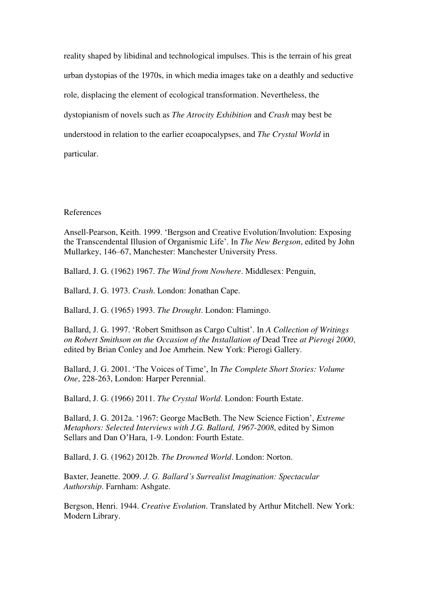reality shaped by libidinal and technological impulses. This is the terrain of his great urban dystopias of the 1970s, in which media images take on a deathly and seductive role, displacing the element of ecological transformation. Nevertheless, the dystopianism of novels such as *The Atrocity Exhibition* and *Crash* may best be understood in relation to the earlier ecoapocalypses, and *The Crystal World* in particular.

# References

Ansell-Pearson, Keith. 1999. 'Bergson and Creative Evolution/Involution: Exposing the Transcendental Illusion of Organismic Life'. In *The New Bergson*, edited by John Mullarkey, 146–67, Manchester: Manchester University Press.

Ballard, J. G. (1962) 1967. *The Wind from Nowhere*. Middlesex: Penguin,

Ballard, J. G. 1973. *Crash*. London: Jonathan Cape.

Ballard, J. G. (1965) 1993. *The Drought*. London: Flamingo.

Ballard, J. G. 1997. 'Robert Smithson as Cargo Cultist'. In *A Collection of Writings on Robert Smithson on the Occasion of the Installation of* Dead Tree *at Pierogi 2000*, edited by Brian Conley and Joe Amrhein. New York: Pierogi Gallery.

Ballard, J. G. 2001. 'The Voices of Time', In *The Complete Short Stories: Volume One*, 228-263, London: Harper Perennial.

Ballard, J. G. (1966) 2011. *The Crystal World*. London: Fourth Estate.

Ballard, J. G. 2012a. '1967: George MacBeth. The New Science Fiction', *Extreme Metaphors: Selected Interviews with J.G. Ballard, 1967-2008*, edited by Simon Sellars and Dan O'Hara, 1-9. London: Fourth Estate.

Ballard, J. G. (1962) 2012b. *The Drowned World*. London: Norton.

Baxter, Jeanette. 2009. *J. G. Ballard's Surrealist Imagination: Spectacular Authorship*. Farnham: Ashgate.

Bergson, Henri. 1944. *Creative Evolution*. Translated by Arthur Mitchell. New York: Modern Library.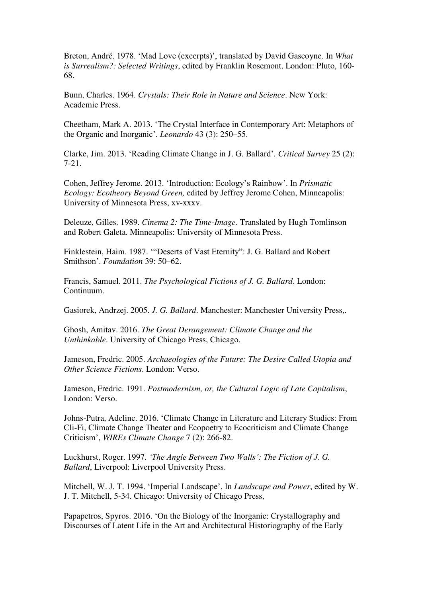Breton, André. 1978. 'Mad Love (excerpts)', translated by David Gascoyne. In *What is Surrealism?: Selected Writings*, edited by Franklin Rosemont, London: Pluto, 160- 68.

Bunn, Charles. 1964. *Crystals: Their Role in Nature and Science*. New York: Academic Press.

Cheetham, Mark A. 2013. 'The Crystal Interface in Contemporary Art: Metaphors of the Organic and Inorganic'. *Leonardo* 43 (3): 250–55.

Clarke, Jim. 2013. 'Reading Climate Change in J. G. Ballard'. *Critical Survey* 25 (2): 7-21.

Cohen, Jeffrey Jerome. 2013. 'Introduction: Ecology's Rainbow'. In *Prismatic Ecology: Ecotheory Beyond Green,* edited by Jeffrey Jerome Cohen, Minneapolis: University of Minnesota Press, xv-xxxv.

Deleuze, Gilles. 1989. *Cinema 2: The Time-Image*. Translated by Hugh Tomlinson and Robert Galeta. Minneapolis: University of Minnesota Press.

Finklestein, Haim. 1987. '"Deserts of Vast Eternity": J. G. Ballard and Robert Smithson'. *Foundation* 39: 50–62.

Francis, Samuel. 2011. *The Psychological Fictions of J. G. Ballard*. London: Continuum.

Gasiorek, Andrzej. 2005. *J. G. Ballard*. Manchester: Manchester University Press,.

Ghosh, Amitav. 2016. *The Great Derangement: Climate Change and the Unthinkable*. University of Chicago Press, Chicago.

Jameson, Fredric. 2005. *Archaeologies of the Future: The Desire Called Utopia and Other Science Fictions*. London: Verso.

Jameson, Fredric. 1991. *Postmodernism, or, the Cultural Logic of Late Capitalism*, London: Verso.

Johns-Putra, Adeline. 2016. 'Climate Change in Literature and Literary Studies: From Cli-Fi, Climate Change Theater and Ecopoetry to Ecocriticism and Climate Change Criticism', *WIREs Climate Change* 7 (2): 266-82.

Luckhurst, Roger. 1997. *'The Angle Between Two Walls': The Fiction of J. G. Ballard*, Liverpool: Liverpool University Press.

Mitchell, W. J. T. 1994. 'Imperial Landscape'. In *Landscape and Power*, edited by W. J. T. Mitchell, 5-34. Chicago: University of Chicago Press,

Papapetros, Spyros. 2016. 'On the Biology of the Inorganic: Crystallography and Discourses of Latent Life in the Art and Architectural Historiography of the Early